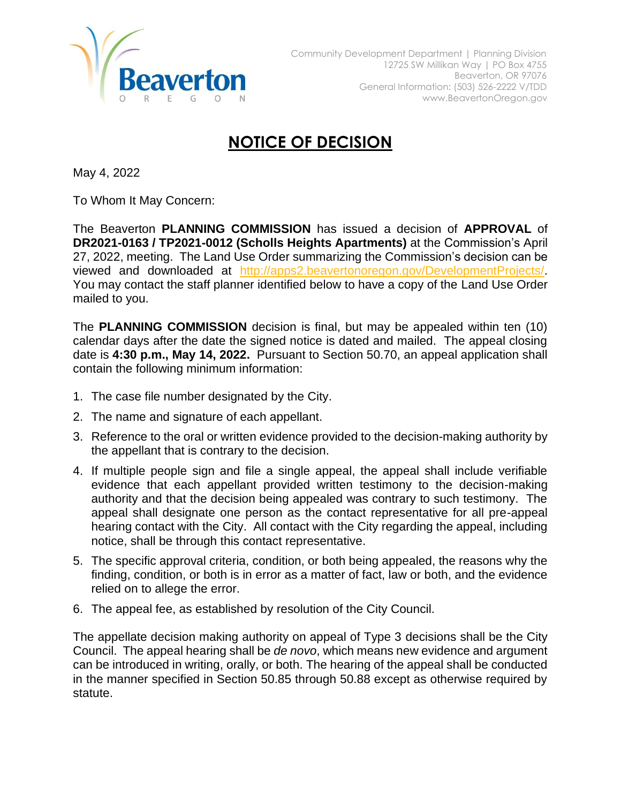

## **NOTICE OF DECISION**

May 4, 2022

To Whom It May Concern:

The Beaverton **PLANNING COMMISSION** has issued a decision of **APPROVAL** of **DR2021-0163 / TP2021-0012 (Scholls Heights Apartments)** at the Commission's April 27, 2022, meeting. The Land Use Order summarizing the Commission's decision can be viewed and downloaded at [http://apps2.beavertonoregon.gov/DevelopmentProjects/.](http://apps2.beavertonoregon.gov/DevelopmentProjects/) You may contact the staff planner identified below to have a copy of the Land Use Order mailed to you.

The **PLANNING COMMISSION** decision is final, but may be appealed within ten (10) calendar days after the date the signed notice is dated and mailed. The appeal closing date is **4:30 p.m., May 14, 2022.** Pursuant to Section 50.70, an appeal application shall contain the following minimum information:

- 1. The case file number designated by the City.
- 2. The name and signature of each appellant.
- 3. Reference to the oral or written evidence provided to the decision-making authority by the appellant that is contrary to the decision.
- 4. If multiple people sign and file a single appeal, the appeal shall include verifiable evidence that each appellant provided written testimony to the decision-making authority and that the decision being appealed was contrary to such testimony. The appeal shall designate one person as the contact representative for all pre-appeal hearing contact with the City. All contact with the City regarding the appeal, including notice, shall be through this contact representative.
- 5. The specific approval criteria, condition, or both being appealed, the reasons why the finding, condition, or both is in error as a matter of fact, law or both, and the evidence relied on to allege the error.
- 6. The appeal fee, as established by resolution of the City Council.

The appellate decision making authority on appeal of Type 3 decisions shall be the City Council. The appeal hearing shall be *de novo*, which means new evidence and argument can be introduced in writing, orally, or both. The hearing of the appeal shall be conducted in the manner specified in Section 50.85 through 50.88 except as otherwise required by statute.